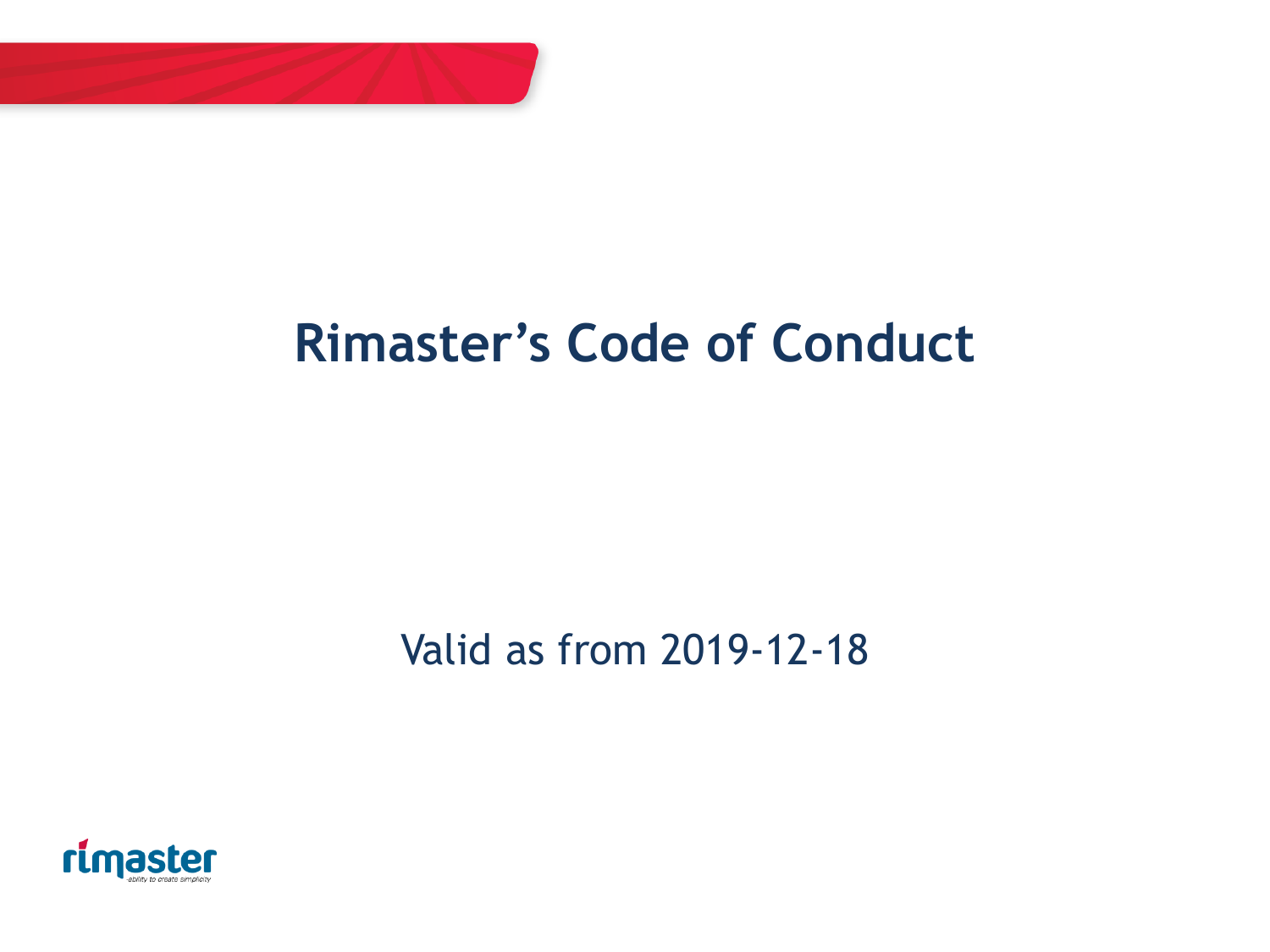

# **Rimaster's Code of Conduct**

## Valid as from 2019-12-18

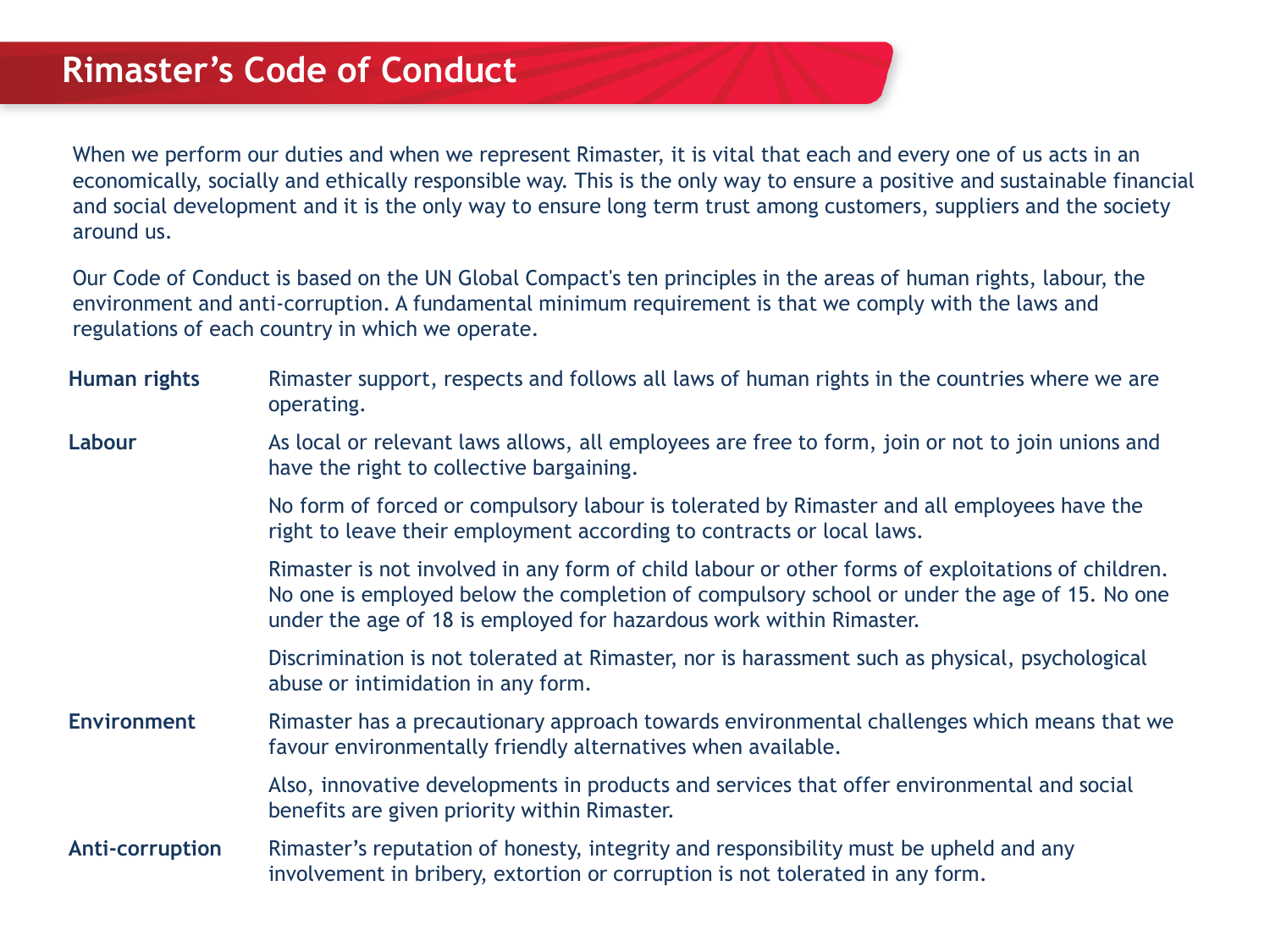When we perform our duties and when we represent Rimaster, it is vital that each and every one of us acts in an economically, socially and ethically responsible way. This is the only way to ensure a positive and sustainable financial and social development and it is the only way to ensure long term trust among customers, suppliers and the society around us.

Our Code of Conduct is based on the UN Global Compact's ten principles in the areas of human rights, labour, the environment and anti-corruption. A fundamental minimum requirement is that we comply with the laws and regulations of each country in which we operate.

| Human rights       | Rimaster support, respects and follows all laws of human rights in the countries where we are<br>operating.                                                                                                                                                             |
|--------------------|-------------------------------------------------------------------------------------------------------------------------------------------------------------------------------------------------------------------------------------------------------------------------|
| Labour             | As local or relevant laws allows, all employees are free to form, join or not to join unions and<br>have the right to collective bargaining.                                                                                                                            |
|                    | No form of forced or compulsory labour is tolerated by Rimaster and all employees have the<br>right to leave their employment according to contracts or local laws.                                                                                                     |
|                    | Rimaster is not involved in any form of child labour or other forms of exploitations of children.<br>No one is employed below the completion of compulsory school or under the age of 15. No one<br>under the age of 18 is employed for hazardous work within Rimaster. |
|                    | Discrimination is not tolerated at Rimaster, nor is harassment such as physical, psychological<br>abuse or intimidation in any form.                                                                                                                                    |
| <b>Environment</b> | Rimaster has a precautionary approach towards environmental challenges which means that we<br>favour environmentally friendly alternatives when available.                                                                                                              |
|                    | Also, innovative developments in products and services that offer environmental and social<br>benefits are given priority within Rimaster.                                                                                                                              |
| Anti-corruption    | Rimaster's reputation of honesty, integrity and responsibility must be upheld and any<br>involvement in bribery, extortion or corruption is not tolerated in any form.                                                                                                  |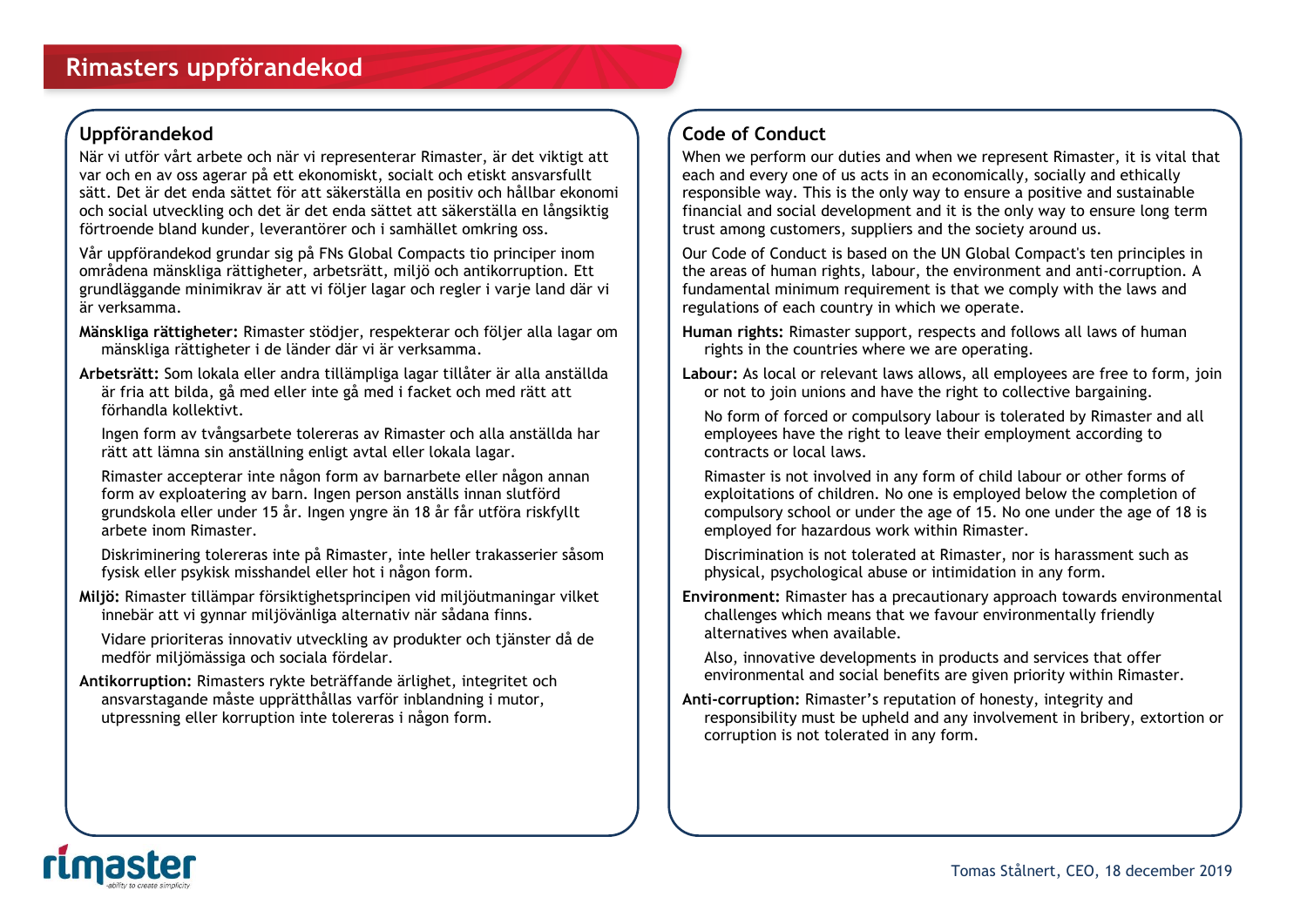## **Uppförandekod**

När vi utför vårt arbete och när vi representerar Rimaster, är det viktigt att var och en av oss agerar på ett ekonomiskt, socialt och etiskt ansvarsfullt sätt. Det är det enda sättet för att säkerställa en positiv och hållbar ekonomi och social utveckling och det är det enda sättet att säkerställa en långsiktig förtroende bland kunder, leverantörer och i samhället omkring oss.

Vår uppförandekod grundar sig på FNs Global Compacts tio principer inom områdena mänskliga rättigheter, arbetsrätt, miljö och antikorruption. Ett grundläggande minimikrav är att vi följer lagar och regler i varje land där vi är verksamma.

- **Mänskliga rättigheter:** Rimaster stödjer, respekterar och följer alla lagar om mänskliga rättigheter i de länder där vi är verksamma.
- **Arbetsrätt:** Som lokala eller andra tillämpliga lagar tillåter är alla anställda är fria att bilda, gå med eller inte gå med i facket och med rätt att förhandla kollektivt.

Ingen form av tvångsarbete tolereras av Rimaster och alla anställda har rätt att lämna sin anställning enligt avtal eller lokala lagar.

Rimaster accepterar inte någon form av barnarbete eller någon annan form av exploatering av barn. Ingen person anställs innan slutförd grundskola eller under 15 år. Ingen yngre än 18 år får utföra riskfyllt arbete inom Rimaster.

Diskriminering tolereras inte på Rimaster, inte heller trakasserier såsom fysisk eller psykisk misshandel eller hot i någon form.

**Miljö:** Rimaster tillämpar försiktighetsprincipen vid miljöutmaningar vilket innebär att vi gynnar miljövänliga alternativ när sådana finns.

Vidare prioriteras innovativ utveckling av produkter och tjänster då de medför miljömässiga och sociala fördelar.

**Antikorruption:** Rimasters rykte beträffande ärlighet, integritet och ansvarstagande måste upprätthållas varför inblandning i mutor, utpressning eller korruption inte tolereras i någon form.

## **Code of Conduct**

When we perform our duties and when we represent Rimaster, it is vital that each and every one of us acts in an economically, socially and ethically responsible way. This is the only way to ensure a positive and sustainable financial and social development and it is the only way to ensure long term trust among customers, suppliers and the society around us.

Our Code of Conduct is based on the UN Global Compact's ten principles in the areas of human rights, labour, the environment and anti-corruption. A fundamental minimum requirement is that we comply with the laws and regulations of each country in which we operate.

**Human rights:** Rimaster support, respects and follows all laws of human rights in the countries where we are operating.

**Labour:** As local or relevant laws allows, all employees are free to form, join or not to join unions and have the right to collective bargaining.

No form of forced or compulsory labour is tolerated by Rimaster and all employees have the right to leave their employment according to contracts or local laws.

Rimaster is not involved in any form of child labour or other forms of exploitations of children. No one is employed below the completion of compulsory school or under the age of 15. No one under the age of 18 is employed for hazardous work within Rimaster.

Discrimination is not tolerated at Rimaster, nor is harassment such as physical, psychological abuse or intimidation in any form.

**Environment:** Rimaster has a precautionary approach towards environmental challenges which means that we favour environmentally friendly alternatives when available.

Also, innovative developments in products and services that offer environmental and social benefits are given priority within Rimaster.

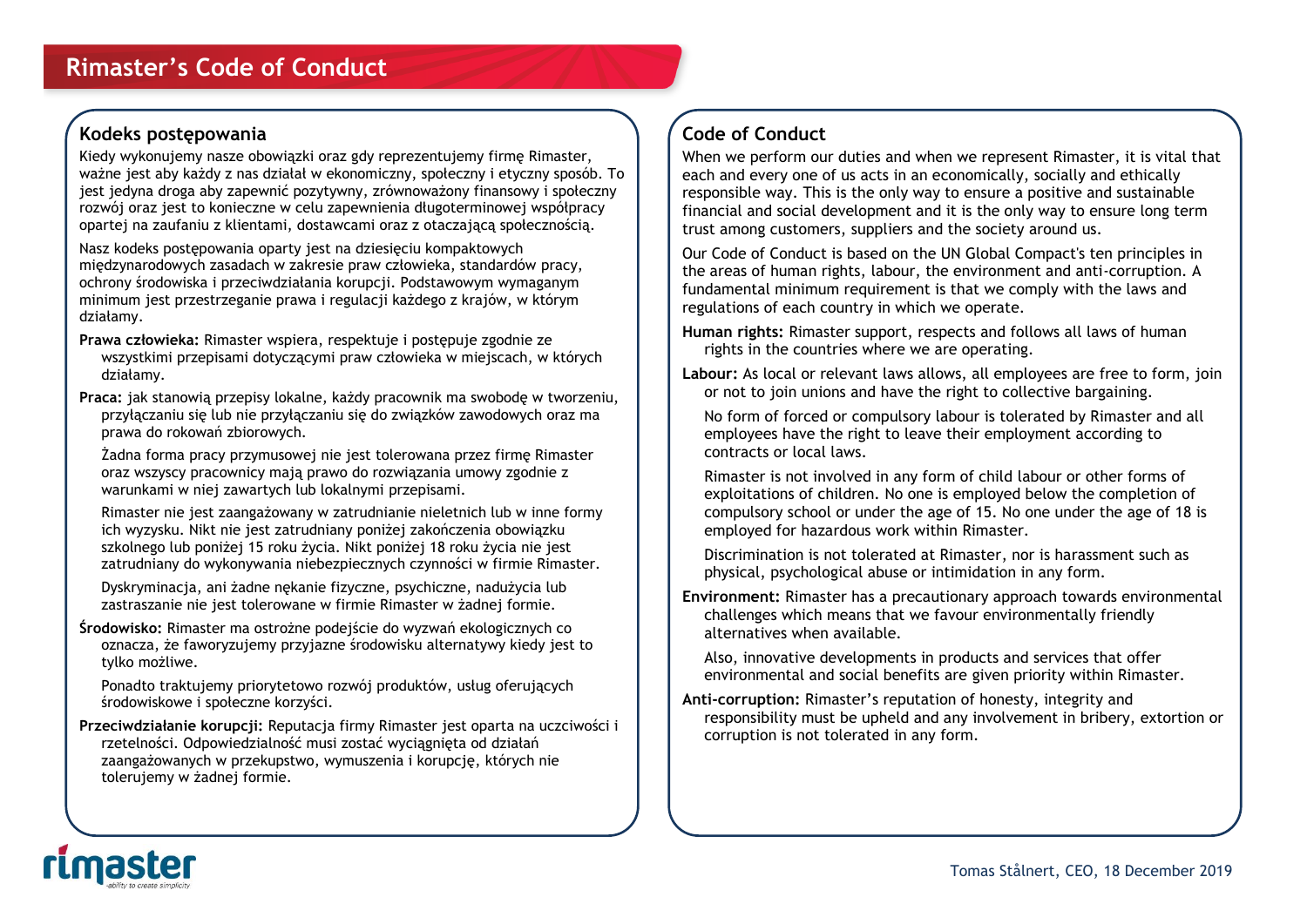## **Kodeks postępowania**

Kiedy wykonujemy nasze obowiązki oraz gdy reprezentujemy firmę Rimaster, ważne jest aby każdy z nas działał w ekonomiczny, społeczny i etyczny sposób. To jest jedyna droga aby zapewnić pozytywny, zrównoważony finansowy i społeczny rozwój oraz jest to konieczne w celu zapewnienia długoterminowej współpracy opartej na zaufaniu z klientami, dostawcami oraz z otaczającą społecznością.

Nasz kodeks postępowania oparty jest na dziesięciu kompaktowych międzynarodowych zasadach w zakresie praw człowieka, standardów pracy, ochrony środowiska i przeciwdziałania korupcji. Podstawowym wymaganym minimum jest przestrzeganie prawa i regulacji każdego z krajów, w którym działamy.

- **Prawa człowieka:** Rimaster wspiera, respektuje i postępuje zgodnie ze wszystkimi przepisami dotyczącymi praw człowieka w miejscach, w których działamy.
- **Praca:** jak stanowią przepisy lokalne, każdy pracownik ma swobodę w tworzeniu, przyłączaniu się lub nie przyłączaniu się do związków zawodowych oraz ma prawa do rokowań zbiorowych.

Żadna forma pracy przymusowej nie jest tolerowana przez firmę Rimaster oraz wszyscy pracownicy mają prawo do rozwiązania umowy zgodnie z warunkami w niej zawartych lub lokalnymi przepisami.

Rimaster nie jest zaangażowany w zatrudnianie nieletnich lub w inne formy ich wyzysku. Nikt nie jest zatrudniany poniżej zakończenia obowiązku szkolnego lub poniżej 15 roku życia. Nikt poniżej 18 roku życia nie jest zatrudniany do wykonywania niebezpiecznych czynności w firmie Rimaster.

Dyskryminacja, ani żadne nękanie fizyczne, psychiczne, nadużycia lub zastraszanie nie jest tolerowane w firmie Rimaster w żadnej formie.

**Środowisko:** Rimaster ma ostrożne podejście do wyzwań ekologicznych co oznacza, że faworyzujemy przyjazne środowisku alternatywy kiedy jest to tylko możliwe.

Ponadto traktujemy priorytetowo rozwój produktów, usług oferujących środowiskowe i społeczne korzyści.

**Przeciwdziałanie korupcji:** Reputacja firmy Rimaster jest oparta na uczciwości i rzetelności. Odpowiedzialność musi zostać wyciągnięta od działań zaangażowanych w przekupstwo, wymuszenia i korupcję, których nie tolerujemy w żadnej formie.

## **Code of Conduct**

When we perform our duties and when we represent Rimaster, it is vital that each and every one of us acts in an economically, socially and ethically responsible way. This is the only way to ensure a positive and sustainable financial and social development and it is the only way to ensure long term trust among customers, suppliers and the society around us.

Our Code of Conduct is based on the UN Global Compact's ten principles in the areas of human rights, labour, the environment and anti-corruption. A fundamental minimum requirement is that we comply with the laws and regulations of each country in which we operate.

**Human rights:** Rimaster support, respects and follows all laws of human rights in the countries where we are operating.

**Labour:** As local or relevant laws allows, all employees are free to form, join or not to join unions and have the right to collective bargaining.

No form of forced or compulsory labour is tolerated by Rimaster and all employees have the right to leave their employment according to contracts or local laws.

Rimaster is not involved in any form of child labour or other forms of exploitations of children. No one is employed below the completion of compulsory school or under the age of 15. No one under the age of 18 is employed for hazardous work within Rimaster.

Discrimination is not tolerated at Rimaster, nor is harassment such as physical, psychological abuse or intimidation in any form.

**Environment:** Rimaster has a precautionary approach towards environmental challenges which means that we favour environmentally friendly alternatives when available.

Also, innovative developments in products and services that offer environmental and social benefits are given priority within Rimaster.

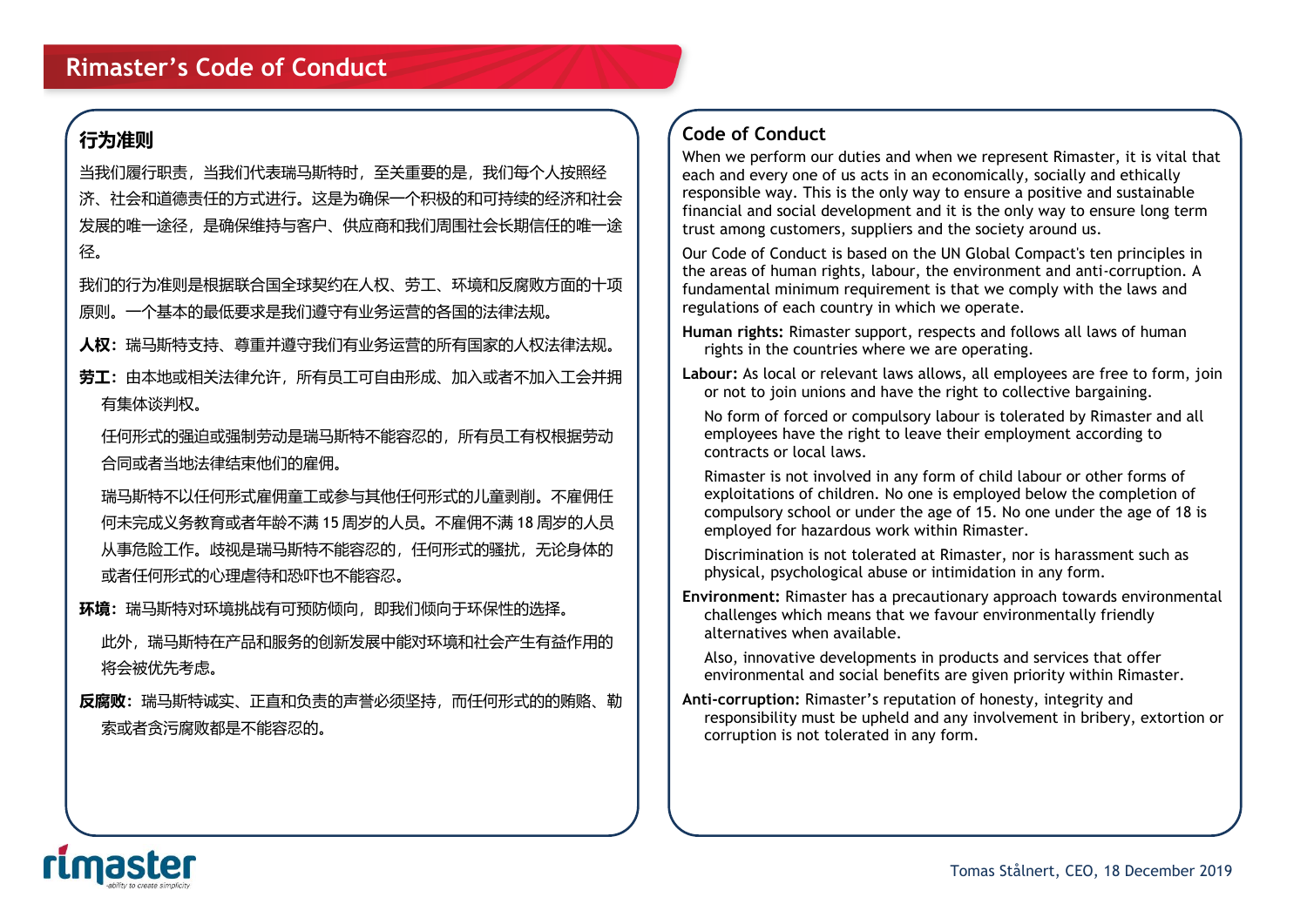## **行为准则**

当我们履行职责,当我们代表瑞马斯特时,至关重要的是,我们每个人按照经 济、社会和道德责任的方式进行。这是为确保一个积极的和可持续的经济和社会 发展的唯一途径,是确保维持与客户、供应商和我们周围社会长期信任的唯一途 径。

我们的行为准则是根据联合国全球契约在人权、劳工、环境和反腐败方面的十项 原则。一个基本的最低要求是我们遵守有业务运营的各国的法律法规。

**人权:**瑞马斯特支持、尊重并遵守我们有业务运营的所有国家的人权法律法规。

**劳工:**由本地或相关法律允许,所有员工可自由形成、加入或者不加入工会并拥 有集体谈判权。

任何形式的强迫或强制劳动是瑞马斯特不能容忍的,所有员工有权根据劳动 合同或者当地法律结束他们的雇佣。

瑞马斯特不以任何形式雇佣童工或参与其他任何形式的儿童剥削。不雇佣任 何未完成义务教育或者年龄不满 15 周岁的人员。不雇佣不满 18 周岁的人员 从事危险工作。歧视是瑞马斯特不能容忍的,任何形式的骚扰,无论身体的 或者任何形式的心理虐待和恐吓也不能容忍。

**环境:**瑞马斯特对环境挑战有可预防倾向,即我们倾向于环保性的选择。

此外,瑞马斯特在产品和服务的创新发展中能对环境和社会产生有益作用的 将会被优先考虑。

**反腐败:**瑞马斯特诚实、正直和负责的声誉必须坚持,而任何形式的的贿赂、勒 索或者贪污腐败都是不能容忍的。

## **Code of Conduct**

When we perform our duties and when we represent Rimaster, it is vital that each and every one of us acts in an economically, socially and ethically responsible way. This is the only way to ensure a positive and sustainable financial and social development and it is the only way to ensure long term trust among customers, suppliers and the society around us.

Our Code of Conduct is based on the UN Global Compact's ten principles in the areas of human rights, labour, the environment and anti-corruption. A fundamental minimum requirement is that we comply with the laws and regulations of each country in which we operate.

- **Human rights:** Rimaster support, respects and follows all laws of human rights in the countries where we are operating.
- **Labour:** As local or relevant laws allows, all employees are free to form, join or not to join unions and have the right to collective bargaining.

No form of forced or compulsory labour is tolerated by Rimaster and all employees have the right to leave their employment according to contracts or local laws.

Rimaster is not involved in any form of child labour or other forms of exploitations of children. No one is employed below the completion of compulsory school or under the age of 15. No one under the age of 18 is employed for hazardous work within Rimaster.

Discrimination is not tolerated at Rimaster, nor is harassment such as physical, psychological abuse or intimidation in any form.

**Environment:** Rimaster has a precautionary approach towards environmental challenges which means that we favour environmentally friendly alternatives when available.

Also, innovative developments in products and services that offer environmental and social benefits are given priority within Rimaster.